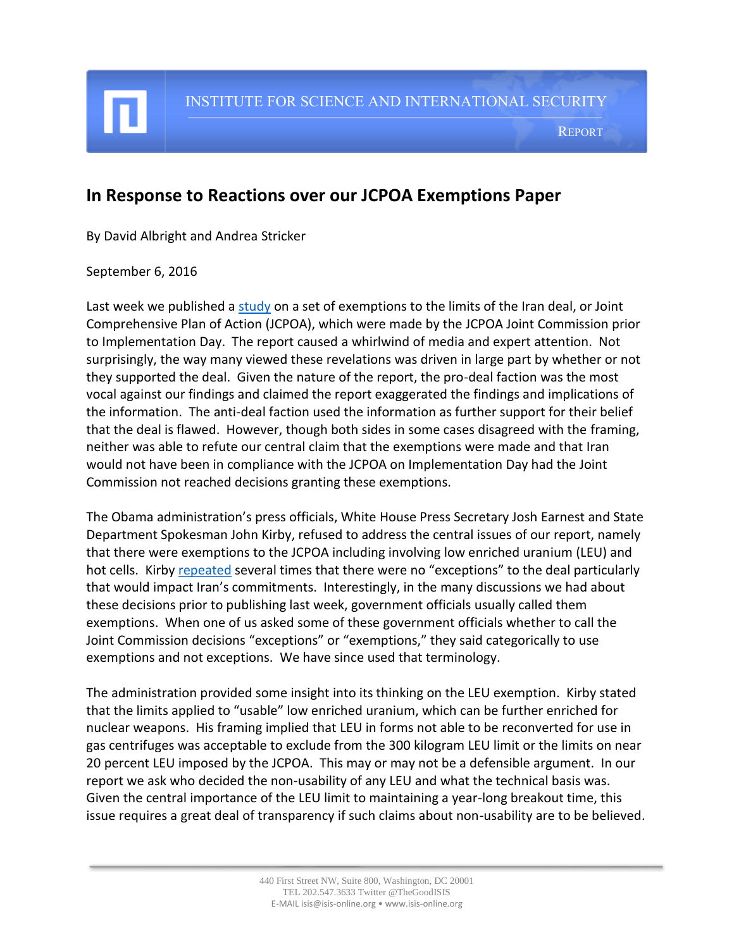INSTITUTE FOR SCIENCE AND INTERNATIONAL SECURITY

REPORT

## **In Response to Reactions over our JCPOA Exemptions Paper**

By David Albright and Andrea Stricker

## September 6, 2016

Last week we published a [study](http://isis-online.org/isis-reports/detail/jcpoa-exemptions-revealed) on a set of exemptions to the limits of the Iran deal, or Joint Comprehensive Plan of Action (JCPOA), which were made by the JCPOA Joint Commission prior to Implementation Day. The report caused a whirlwind of media and expert attention. Not surprisingly, the way many viewed these revelations was driven in large part by whether or not they supported the deal. Given the nature of the report, the pro-deal faction was the most vocal against our findings and claimed the report exaggerated the findings and implications of the information. The anti-deal faction used the information as further support for their belief that the deal is flawed. However, though both sides in some cases disagreed with the framing, neither was able to refute our central claim that the exemptions were made and that Iran would not have been in compliance with the JCPOA on Implementation Day had the Joint Commission not reached decisions granting these exemptions.

The Obama administration's press officials, White House Press Secretary Josh Earnest and State Department Spokesman John Kirby, refused to address the central issues of our report, namely that there were exemptions to the JCPOA including involving low enriched uranium (LEU) and hot cells. Kirb[y repeated](http://www.state.gov/r/pa/prs/dpb/2016/09/261531.htm) several times that there were no "exceptions" to the deal particularly that would impact Iran's commitments. Interestingly, in the many discussions we had about these decisions prior to publishing last week, government officials usually called them exemptions. When one of us asked some of these government officials whether to call the Joint Commission decisions "exceptions" or "exemptions," they said categorically to use exemptions and not exceptions. We have since used that terminology.

The administration provided some insight into its thinking on the LEU exemption. Kirby stated that the limits applied to "usable" low enriched uranium, which can be further enriched for nuclear weapons. His framing implied that LEU in forms not able to be reconverted for use in gas centrifuges was acceptable to exclude from the 300 kilogram LEU limit or the limits on near 20 percent LEU imposed by the JCPOA. This may or may not be a defensible argument. In our report we ask who decided the non-usability of any LEU and what the technical basis was. Given the central importance of the LEU limit to maintaining a year-long breakout time, this issue requires a great deal of transparency if such claims about non-usability are to be believed.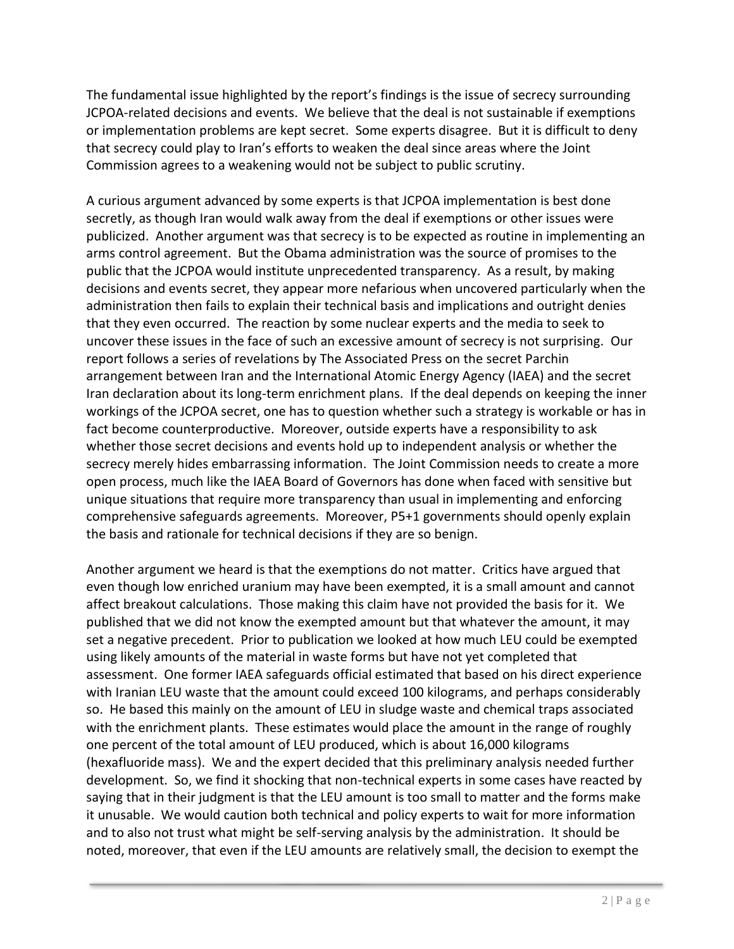The fundamental issue highlighted by the report's findings is the issue of secrecy surrounding JCPOA-related decisions and events. We believe that the deal is not sustainable if exemptions or implementation problems are kept secret. Some experts disagree. But it is difficult to deny that secrecy could play to Iran's efforts to weaken the deal since areas where the Joint Commission agrees to a weakening would not be subject to public scrutiny.

A curious argument advanced by some experts is that JCPOA implementation is best done secretly, as though Iran would walk away from the deal if exemptions or other issues were publicized. Another argument was that secrecy is to be expected as routine in implementing an arms control agreement. But the Obama administration was the source of promises to the public that the JCPOA would institute unprecedented transparency. As a result, by making decisions and events secret, they appear more nefarious when uncovered particularly when the administration then fails to explain their technical basis and implications and outright denies that they even occurred. The reaction by some nuclear experts and the media to seek to uncover these issues in the face of such an excessive amount of secrecy is not surprising. Our report follows a series of revelations by The Associated Press on the secret Parchin arrangement between Iran and the International Atomic Energy Agency (IAEA) and the secret Iran declaration about its long-term enrichment plans. If the deal depends on keeping the inner workings of the JCPOA secret, one has to question whether such a strategy is workable or has in fact become counterproductive. Moreover, outside experts have a responsibility to ask whether those secret decisions and events hold up to independent analysis or whether the secrecy merely hides embarrassing information. The Joint Commission needs to create a more open process, much like the IAEA Board of Governors has done when faced with sensitive but unique situations that require more transparency than usual in implementing and enforcing comprehensive safeguards agreements. Moreover, P5+1 governments should openly explain the basis and rationale for technical decisions if they are so benign.

Another argument we heard is that the exemptions do not matter. Critics have argued that even though low enriched uranium may have been exempted, it is a small amount and cannot affect breakout calculations. Those making this claim have not provided the basis for it. We published that we did not know the exempted amount but that whatever the amount, it may set a negative precedent. Prior to publication we looked at how much LEU could be exempted using likely amounts of the material in waste forms but have not yet completed that assessment. One former IAEA safeguards official estimated that based on his direct experience with Iranian LEU waste that the amount could exceed 100 kilograms, and perhaps considerably so. He based this mainly on the amount of LEU in sludge waste and chemical traps associated with the enrichment plants. These estimates would place the amount in the range of roughly one percent of the total amount of LEU produced, which is about 16,000 kilograms (hexafluoride mass). We and the expert decided that this preliminary analysis needed further development. So, we find it shocking that non-technical experts in some cases have reacted by saying that in their judgment is that the LEU amount is too small to matter and the forms make it unusable. We would caution both technical and policy experts to wait for more information and to also not trust what might be self-serving analysis by the administration. It should be noted, moreover, that even if the LEU amounts are relatively small, the decision to exempt the